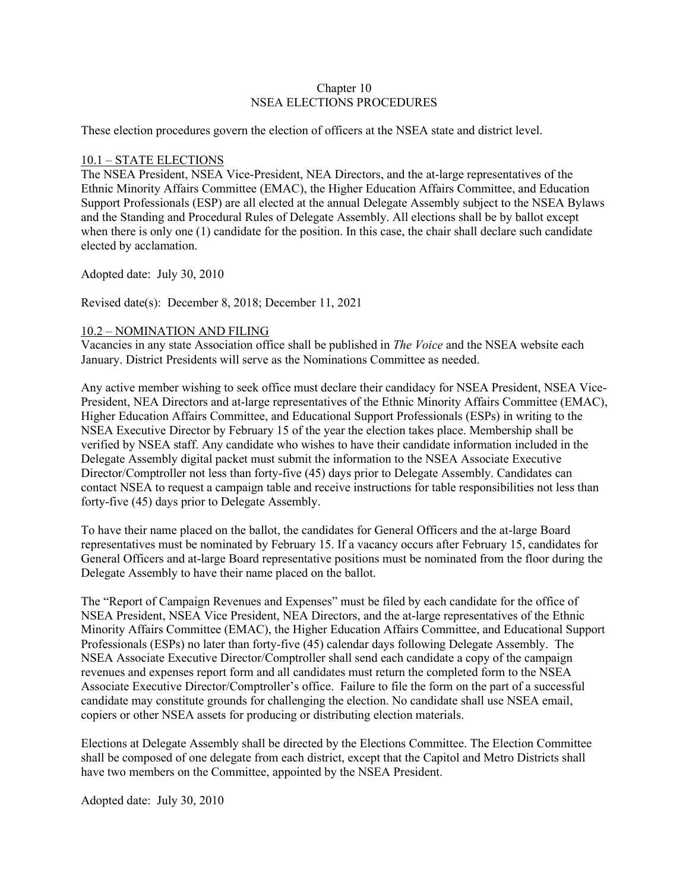### Chapter 10 NSEA ELECTIONS PROCEDURES

These election procedures govern the election of officers at the NSEA state and district level.

### 10.1 – STATE ELECTIONS

The NSEA President, NSEA Vice-President, NEA Directors, and the at-large representatives of the Ethnic Minority Affairs Committee (EMAC), the Higher Education Affairs Committee, and Education Support Professionals (ESP) are all elected at the annual Delegate Assembly subject to the NSEA Bylaws and the Standing and Procedural Rules of Delegate Assembly. All elections shall be by ballot except when there is only one (1) candidate for the position. In this case, the chair shall declare such candidate elected by acclamation.

Adopted date: July 30, 2010

Revised date(s): December 8, 2018; December 11, 2021

### 10.2 – NOMINATION AND FILING

Vacancies in any state Association office shall be published in *The Voice* and the NSEA website each January. District Presidents will serve as the Nominations Committee as needed.

Any active member wishing to seek office must declare their candidacy for NSEA President, NSEA Vice-President, NEA Directors and at-large representatives of the Ethnic Minority Affairs Committee (EMAC), Higher Education Affairs Committee, and Educational Support Professionals (ESPs) in writing to the NSEA Executive Director by February 15 of the year the election takes place. Membership shall be verified by NSEA staff. Any candidate who wishes to have their candidate information included in the Delegate Assembly digital packet must submit the information to the NSEA Associate Executive Director/Comptroller not less than forty-five (45) days prior to Delegate Assembly. Candidates can contact NSEA to request a campaign table and receive instructions for table responsibilities not less than forty-five (45) days prior to Delegate Assembly.

To have their name placed on the ballot, the candidates for General Officers and the at-large Board representatives must be nominated by February 15. If a vacancy occurs after February 15, candidates for General Officers and at-large Board representative positions must be nominated from the floor during the Delegate Assembly to have their name placed on the ballot.

The "Report of Campaign Revenues and Expenses" must be filed by each candidate for the office of NSEA President, NSEA Vice President, NEA Directors, and the at-large representatives of the Ethnic Minority Affairs Committee (EMAC), the Higher Education Affairs Committee, and Educational Support Professionals (ESPs) no later than forty-five (45) calendar days following Delegate Assembly. The NSEA Associate Executive Director/Comptroller shall send each candidate a copy of the campaign revenues and expenses report form and all candidates must return the completed form to the NSEA Associate Executive Director/Comptroller's office. Failure to file the form on the part of a successful candidate may constitute grounds for challenging the election. No candidate shall use NSEA email, copiers or other NSEA assets for producing or distributing election materials.

Elections at Delegate Assembly shall be directed by the Elections Committee. The Election Committee shall be composed of one delegate from each district, except that the Capitol and Metro Districts shall have two members on the Committee, appointed by the NSEA President.

Adopted date: July 30, 2010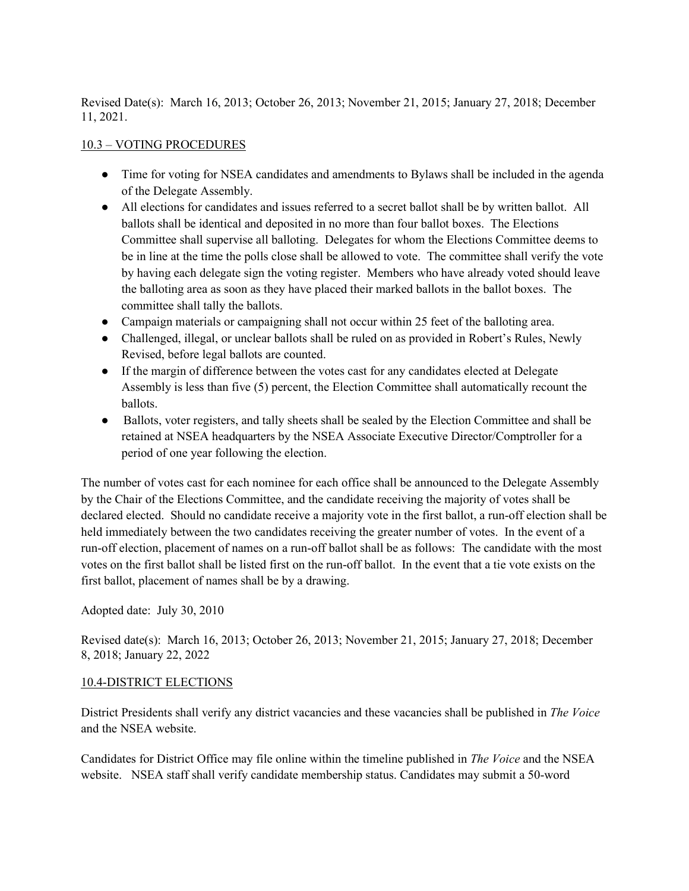Revised Date(s): March 16, 2013; October 26, 2013; November 21, 2015; January 27, 2018; December 11, 2021.

# 10.3 – VOTING PROCEDURES

- Time for voting for NSEA candidates and amendments to Bylaws shall be included in the agenda of the Delegate Assembly.
- All elections for candidates and issues referred to a secret ballot shall be by written ballot. All ballots shall be identical and deposited in no more than four ballot boxes. The Elections Committee shall supervise all balloting. Delegates for whom the Elections Committee deems to be in line at the time the polls close shall be allowed to vote. The committee shall verify the vote by having each delegate sign the voting register. Members who have already voted should leave the balloting area as soon as they have placed their marked ballots in the ballot boxes. The committee shall tally the ballots.
- Campaign materials or campaigning shall not occur within 25 feet of the balloting area.
- Challenged, illegal, or unclear ballots shall be ruled on as provided in Robert's Rules, Newly Revised, before legal ballots are counted.
- If the margin of difference between the votes cast for any candidates elected at Delegate Assembly is less than five (5) percent, the Election Committee shall automatically recount the ballots.
- Ballots, voter registers, and tally sheets shall be sealed by the Election Committee and shall be retained at NSEA headquarters by the NSEA Associate Executive Director/Comptroller for a period of one year following the election.

The number of votes cast for each nominee for each office shall be announced to the Delegate Assembly by the Chair of the Elections Committee, and the candidate receiving the majority of votes shall be declared elected. Should no candidate receive a majority vote in the first ballot, a run-off election shall be held immediately between the two candidates receiving the greater number of votes. In the event of a run-off election, placement of names on a run-off ballot shall be as follows: The candidate with the most votes on the first ballot shall be listed first on the run-off ballot. In the event that a tie vote exists on the first ballot, placement of names shall be by a drawing.

Adopted date: July 30, 2010

Revised date(s): March 16, 2013; October 26, 2013; November 21, 2015; January 27, 2018; December 8, 2018; January 22, 2022

### 10.4-DISTRICT ELECTIONS

District Presidents shall verify any district vacancies and these vacancies shall be published in *The Voice*  and the NSEA website.

Candidates for District Office may file online within the timeline published in *The Voice* and the NSEA website. NSEA staff shall verify candidate membership status. Candidates may submit a 50-word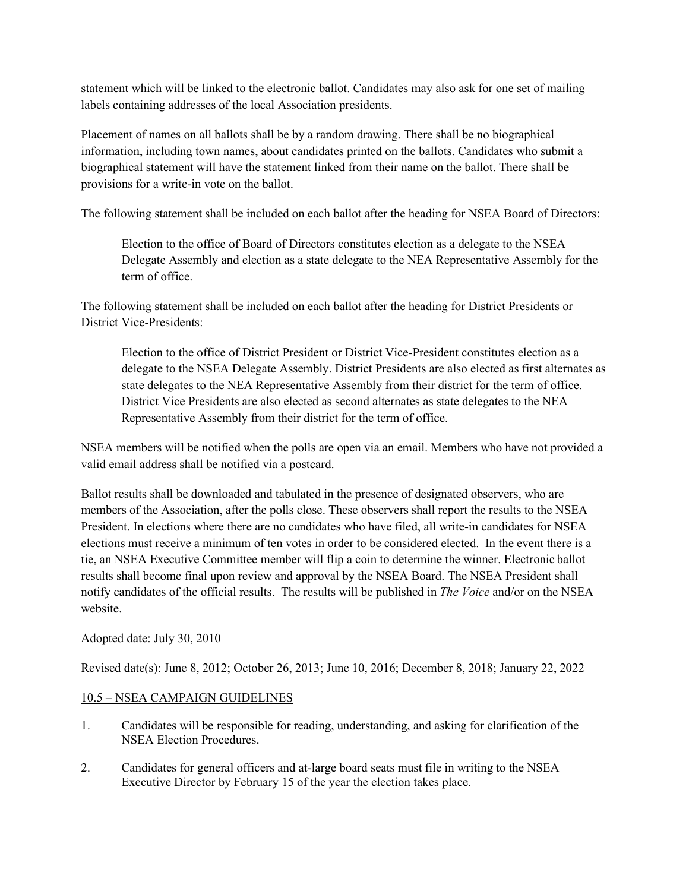statement which will be linked to the electronic ballot. Candidates may also ask for one set of mailing labels containing addresses of the local Association presidents.

Placement of names on all ballots shall be by a random drawing. There shall be no biographical information, including town names, about candidates printed on the ballots. Candidates who submit a biographical statement will have the statement linked from their name on the ballot. There shall be provisions for a write-in vote on the ballot.

The following statement shall be included on each ballot after the heading for NSEA Board of Directors:

Election to the office of Board of Directors constitutes election as a delegate to the NSEA Delegate Assembly and election as a state delegate to the NEA Representative Assembly for the term of office.

The following statement shall be included on each ballot after the heading for District Presidents or District Vice-Presidents:

Election to the office of District President or District Vice-President constitutes election as a delegate to the NSEA Delegate Assembly. District Presidents are also elected as first alternates as state delegates to the NEA Representative Assembly from their district for the term of office. District Vice Presidents are also elected as second alternates as state delegates to the NEA Representative Assembly from their district for the term of office.

NSEA members will be notified when the polls are open via an email. Members who have not provided a valid email address shall be notified via a postcard.

Ballot results shall be downloaded and tabulated in the presence of designated observers, who are members of the Association, after the polls close. These observers shall report the results to the NSEA President. In elections where there are no candidates who have filed, all write-in candidates for NSEA elections must receive a minimum of ten votes in order to be considered elected. In the event there is a tie, an NSEA Executive Committee member will flip a coin to determine the winner. Electronic ballot results shall become final upon review and approval by the NSEA Board. The NSEA President shall notify candidates of the official results. The results will be published in *The Voice* and/or on the NSEA website.

Adopted date: July 30, 2010

Revised date(s): June 8, 2012; October 26, 2013; June 10, 2016; December 8, 2018; January 22, 2022

# 10.5 – NSEA CAMPAIGN GUIDELINES

- 1. Candidates will be responsible for reading, understanding, and asking for clarification of the NSEA Election Procedures.
- 2. Candidates for general officers and at-large board seats must file in writing to the NSEA Executive Director by February 15 of the year the election takes place.